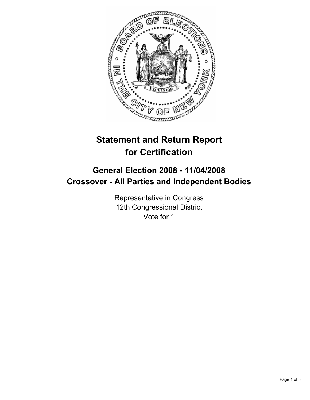

# **Statement and Return Report for Certification**

## **General Election 2008 - 11/04/2008 Crossover - All Parties and Independent Bodies**

Representative in Congress 12th Congressional District Vote for 1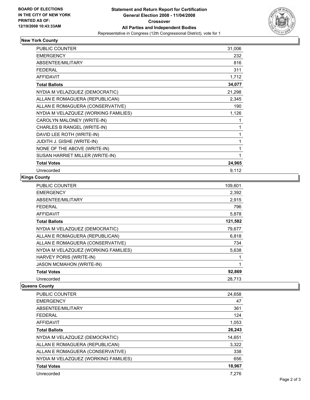

## **New York County**

| <b>PUBLIC COUNTER</b>                | 31,006 |
|--------------------------------------|--------|
| <b>EMERGENCY</b>                     | 232    |
| ABSENTEE/MILITARY                    | 816    |
| <b>FEDERAL</b>                       | 311    |
| <b>AFFIDAVIT</b>                     | 1,712  |
| <b>Total Ballots</b>                 | 34,077 |
| NYDIA M VELAZQUEZ (DEMOCRATIC)       | 21,298 |
| ALLAN E ROMAGUERA (REPUBLICAN)       | 2,345  |
| ALLAN E ROMAGUERA (CONSERVATIVE)     | 190    |
| NYDIA M VELAZQUEZ (WORKING FAMILIES) | 1,126  |
| CAROLYN MALONEY (WRITE-IN)           |        |
| CHARLES B RANGEL (WRITE-IN)          |        |
| DAVID LEE ROTH (WRITE-IN)            |        |
| <b>JUDITH J. GISHE (WRITE-IN)</b>    |        |
| NONE OF THE ABOVE (WRITE-IN)         |        |
| SUSAN HARRIET MILLER (WRITE-IN)      |        |
| <b>Total Votes</b>                   | 24,965 |
| Unrecorded                           | 9,112  |

### **Kings County**

| PUBLIC COUNTER                       | 109,601 |
|--------------------------------------|---------|
| <b>EMERGENCY</b>                     | 2,392   |
| ABSENTEE/MILITARY                    | 2,915   |
| <b>FEDERAL</b>                       | 796     |
| <b>AFFIDAVIT</b>                     | 5,878   |
| <b>Total Ballots</b>                 | 121,582 |
| NYDIA M VELAZQUEZ (DEMOCRATIC)       | 79,677  |
| ALLAN E ROMAGUERA (REPUBLICAN)       | 6,818   |
| ALLAN E ROMAGUERA (CONSERVATIVE)     | 734     |
| NYDIA M VELAZQUEZ (WORKING FAMILIES) | 5,638   |
| HARVEY PORIS (WRITE-IN)              |         |
| <b>JASON MCMAHON (WRITE-IN)</b>      |         |
| <b>Total Votes</b>                   | 92,869  |
| Unrecorded                           | 28,713  |

#### **Queens County**

| PUBLIC COUNTER                       | 24,658 |
|--------------------------------------|--------|
| <b>EMERGENCY</b>                     | 47     |
| ABSENTEE/MILITARY                    | 361    |
| <b>FEDERAL</b>                       | 124    |
| AFFIDAVIT                            | 1,053  |
| <b>Total Ballots</b>                 | 26,243 |
| NYDIA M VELAZQUEZ (DEMOCRATIC)       | 14,651 |
| ALLAN E ROMAGUERA (REPUBLICAN)       | 3,322  |
| ALLAN E ROMAGUERA (CONSERVATIVE)     | 338    |
| NYDIA M VELAZQUEZ (WORKING FAMILIES) | 656    |
| <b>Total Votes</b>                   | 18,967 |
| Unrecorded                           | 7.276  |